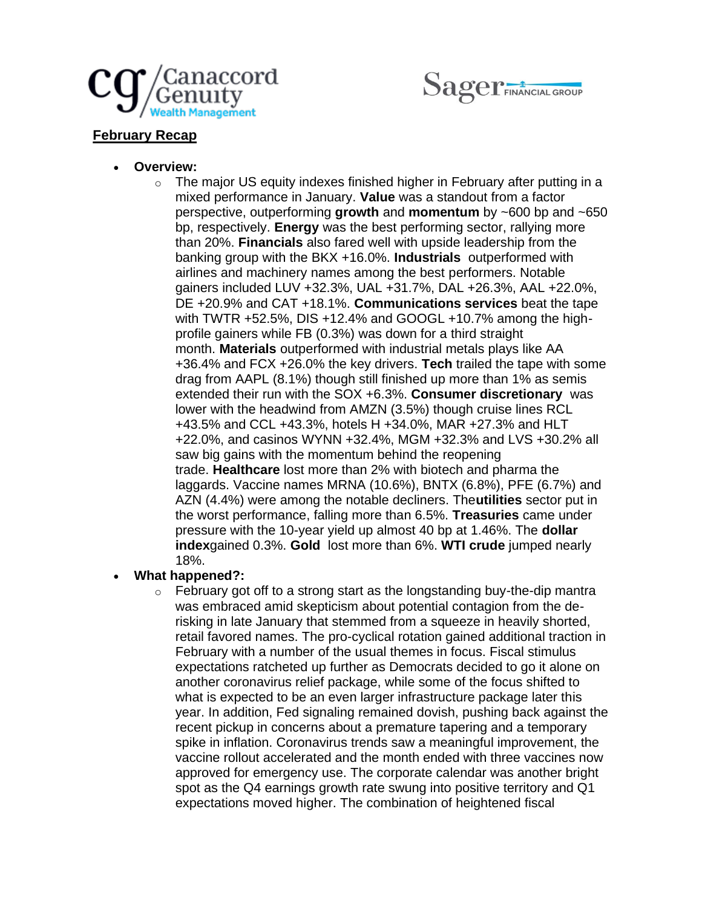



# **February Recap**

- **Overview:**
	- o The major US equity indexes finished higher in February after putting in a mixed performance in January. **Value** was a standout from a factor perspective, outperforming **growth** and **momentum** by ~600 bp and ~650 bp, respectively. **Energy** was the best performing sector, rallying more than 20%. **Financials** also fared well with upside leadership from the banking group with the BKX +16.0%. **Industrials** outperformed with airlines and machinery names among the best performers. Notable gainers included LUV +32.3%, UAL +31.7%, DAL +26.3%, AAL +22.0%, DE +20.9% and CAT +18.1%. **Communications services** beat the tape with TWTR +52.5%, DIS +12.4% and GOOGL +10.7% among the highprofile gainers while FB (0.3%) was down for a third straight month. **Materials** outperformed with industrial metals plays like AA +36.4% and FCX +26.0% the key drivers. **Tech** trailed the tape with some drag from AAPL (8.1%) though still finished up more than 1% as semis extended their run with the SOX +6.3%. **Consumer discretionary** was lower with the headwind from AMZN (3.5%) though cruise lines RCL +43.5% and CCL +43.3%, hotels H +34.0%, MAR +27.3% and HLT +22.0%, and casinos WYNN +32.4%, MGM +32.3% and LVS +30.2% all saw big gains with the momentum behind the reopening trade. **Healthcare** lost more than 2% with biotech and pharma the laggards. Vaccine names MRNA (10.6%), BNTX (6.8%), PFE (6.7%) and AZN (4.4%) were among the notable decliners. The**utilities** sector put in the worst performance, falling more than 6.5%. **Treasuries** came under pressure with the 10-year yield up almost 40 bp at 1.46%. The **dollar index**gained 0.3%. **Gold** lost more than 6%. **WTI crude** jumped nearly 18%.

## • **What happened?:**

 $\circ$  February got off to a strong start as the longstanding buy-the-dip mantra was embraced amid skepticism about potential contagion from the derisking in late January that stemmed from a squeeze in heavily shorted, retail favored names. The pro-cyclical rotation gained additional traction in February with a number of the usual themes in focus. Fiscal stimulus expectations ratcheted up further as Democrats decided to go it alone on another coronavirus relief package, while some of the focus shifted to what is expected to be an even larger infrastructure package later this year. In addition, Fed signaling remained dovish, pushing back against the recent pickup in concerns about a premature tapering and a temporary spike in inflation. Coronavirus trends saw a meaningful improvement, the vaccine rollout accelerated and the month ended with three vaccines now approved for emergency use. The corporate calendar was another bright spot as the Q4 earnings growth rate swung into positive territory and Q1 expectations moved higher. The combination of heightened fiscal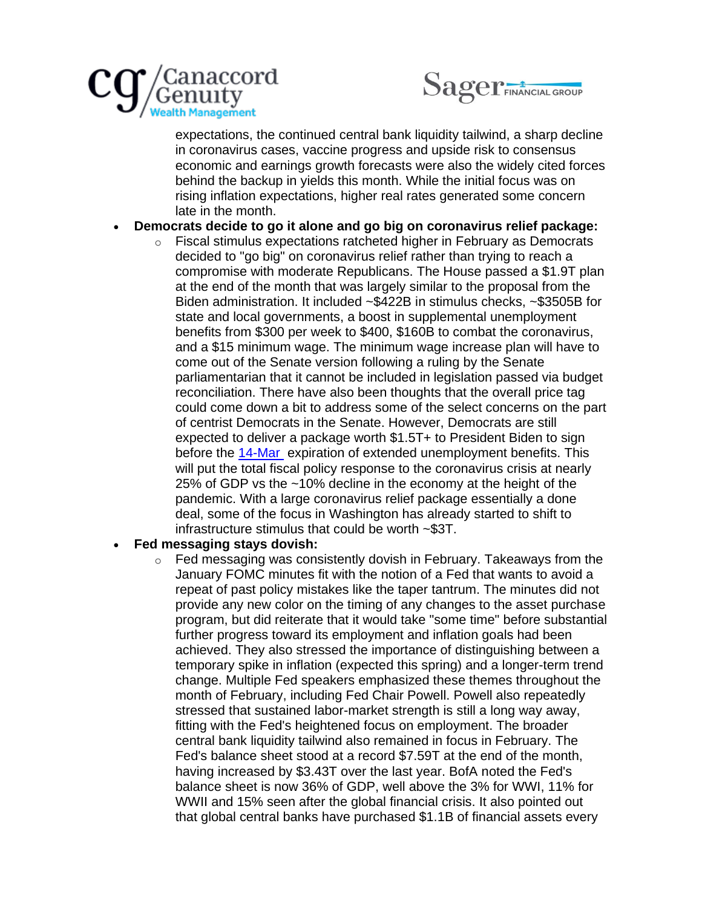



expectations, the continued central bank liquidity tailwind, a sharp decline in coronavirus cases, vaccine progress and upside risk to consensus economic and earnings growth forecasts were also the widely cited forces behind the backup in yields this month. While the initial focus was on rising inflation expectations, higher real rates generated some concern late in the month.

### • **Democrats decide to go it alone and go big on coronavirus relief package:**

o Fiscal stimulus expectations ratcheted higher in February as Democrats decided to "go big" on coronavirus relief rather than trying to reach a compromise with moderate Republicans. The House passed a \$1.9T plan at the end of the month that was largely similar to the proposal from the Biden administration. It included ~\$422B in stimulus checks, ~\$3505B for state and local governments, a boost in supplemental unemployment benefits from \$300 per week to \$400, \$160B to combat the coronavirus, and a \$15 minimum wage. The minimum wage increase plan will have to come out of the Senate version following a ruling by the Senate parliamentarian that it cannot be included in legislation passed via budget reconciliation. There have also been thoughts that the overall price tag could come down a bit to address some of the select concerns on the part of centrist Democrats in the Senate. However, Democrats are still expected to deliver a package worth \$1.5T+ to President Biden to sign before the [14-Mar](https://urldefense.com/v3/__http:/x-apple-data-detectors:/*5__;Lw!!Ei9jbvzSmg!HGn0849GKpmidENUo3lwDVAzuZoqne4BQPYkort7q1Fo5_3Kf6X0zSHhbV8rkb0$) expiration of extended unemployment benefits. This will put the total fiscal policy response to the coronavirus crisis at nearly 25% of GDP vs the ~10% decline in the economy at the height of the pandemic. With a large coronavirus relief package essentially a done deal, some of the focus in Washington has already started to shift to infrastructure stimulus that could be worth ~\$3T.

#### • **Fed messaging stays dovish:**

 $\circ$  Fed messaging was consistently dovish in February. Takeaways from the January FOMC minutes fit with the notion of a Fed that wants to avoid a repeat of past policy mistakes like the taper tantrum. The minutes did not provide any new color on the timing of any changes to the asset purchase program, but did reiterate that it would take "some time" before substantial further progress toward its employment and inflation goals had been achieved. They also stressed the importance of distinguishing between a temporary spike in inflation (expected this spring) and a longer-term trend change. Multiple Fed speakers emphasized these themes throughout the month of February, including Fed Chair Powell. Powell also repeatedly stressed that sustained labor-market strength is still a long way away, fitting with the Fed's heightened focus on employment. The broader central bank liquidity tailwind also remained in focus in February. The Fed's balance sheet stood at a record \$7.59T at the end of the month, having increased by \$3.43T over the last year. BofA noted the Fed's balance sheet is now 36% of GDP, well above the 3% for WWI, 11% for WWII and 15% seen after the global financial crisis. It also pointed out that global central banks have purchased \$1.1B of financial assets every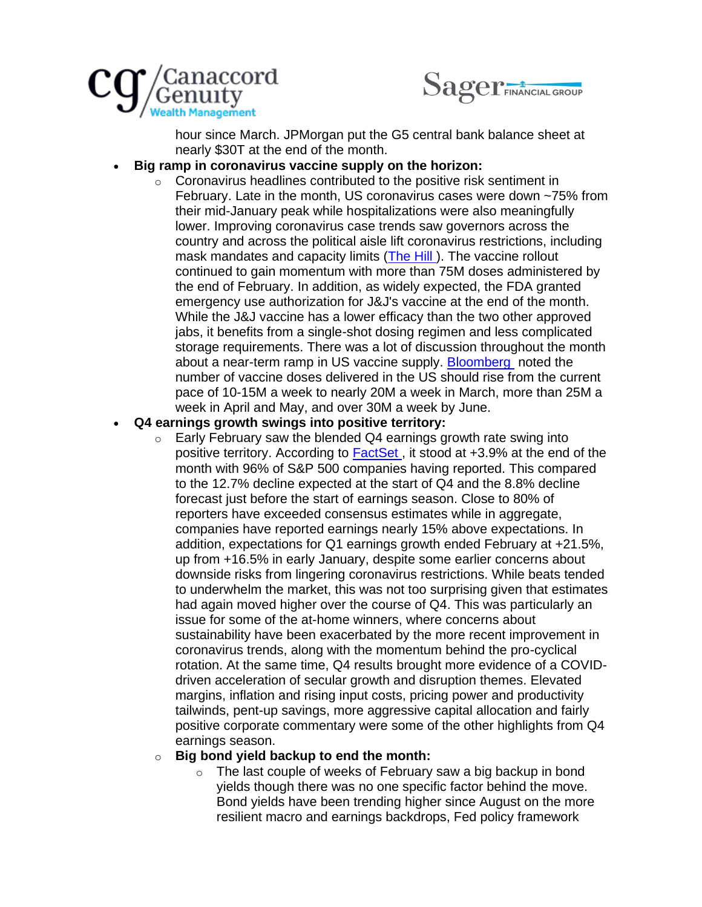



hour since March. JPMorgan put the G5 central bank balance sheet at nearly \$30T at the end of the month.

#### • **Big ramp in coronavirus vaccine supply on the horizon:**

o Coronavirus headlines contributed to the positive risk sentiment in February. Late in the month, US coronavirus cases were down ~75% from their mid-January peak while hospitalizations were also meaningfully lower. Improving coronavirus case trends saw governors across the country and across the political aisle lift coronavirus restrictions, including mask mandates and capacity limits [\(The Hill \)](http://click.crm.cgf.com/?qs=c012d19da59b30474e1554f6e220ef0b097a306a02c6e22ac98fffd6a7926a89570671f3e566e2a31c999c4d27f9efb0). The vaccine rollout continued to gain momentum with more than 75M doses administered by the end of February. In addition, as widely expected, the FDA granted emergency use authorization for J&J's vaccine at the end of the month. While the J&J vaccine has a lower efficacy than the two other approved jabs, it benefits from a single-shot dosing regimen and less complicated storage requirements. There was a lot of discussion throughout the month about a near-term ramp in US vaccine supply. [Bloomberg](http://click.crm.cgf.com/?qs=c012d19da59b3047ca0dc9299f0d3bf5e23d536ceb89fe02613bb5684ffd91856becdcb7f59f2a9de8a088b60eaff86b) noted the number of vaccine doses delivered in the US should rise from the current pace of 10-15M a week to nearly 20M a week in March, more than 25M a week in April and May, and over 30M a week by June.

#### • **Q4 earnings growth swings into positive territory:**

 $\circ$  Early February saw the blended Q4 earnings growth rate swing into positive territory. According to **FactSet**, it stood at +3.9% at the end of the month with 96% of S&P 500 companies having reported. This compared to the 12.7% decline expected at the start of Q4 and the 8.8% decline forecast just before the start of earnings season. Close to 80% of reporters have exceeded consensus estimates while in aggregate, companies have reported earnings nearly 15% above expectations. In addition, expectations for Q1 earnings growth ended February at +21.5%, up from +16.5% in early January, despite some earlier concerns about downside risks from lingering coronavirus restrictions. While beats tended to underwhelm the market, this was not too surprising given that estimates had again moved higher over the course of Q4. This was particularly an issue for some of the at-home winners, where concerns about sustainability have been exacerbated by the more recent improvement in coronavirus trends, along with the momentum behind the pro-cyclical rotation. At the same time, Q4 results brought more evidence of a COVIDdriven acceleration of secular growth and disruption themes. Elevated margins, inflation and rising input costs, pricing power and productivity tailwinds, pent-up savings, more aggressive capital allocation and fairly positive corporate commentary were some of the other highlights from Q4 earnings season.

#### o **Big bond yield backup to end the month:**

 $\circ$  The last couple of weeks of February saw a big backup in bond yields though there was no one specific factor behind the move. Bond yields have been trending higher since August on the more resilient macro and earnings backdrops, Fed policy framework